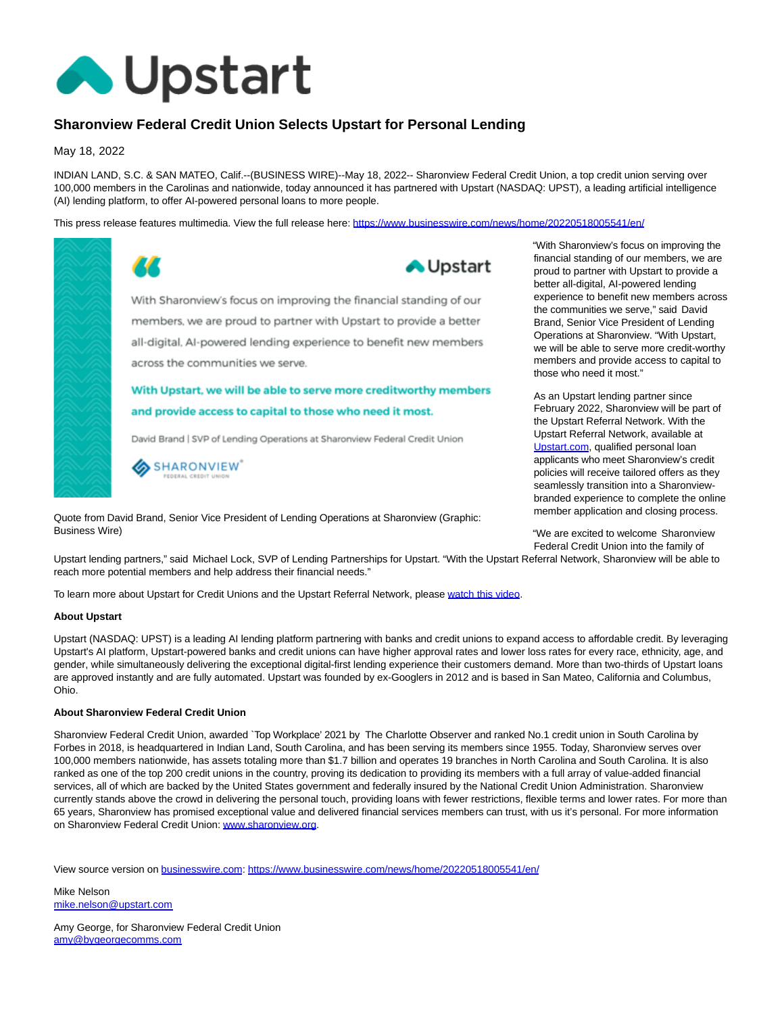

## **Sharonview Federal Credit Union Selects Upstart for Personal Lending**

May 18, 2022

INDIAN LAND, S.C. & SAN MATEO, Calif.--(BUSINESS WIRE)--May 18, 2022-- Sharonview Federal Credit Union, a top credit union serving over 100,000 members in the Carolinas and nationwide, today announced it has partnered with Upstart (NASDAQ: UPST), a leading artificial intelligence (AI) lending platform, to offer AI-powered personal loans to more people.

This press release features multimedia. View the full release here:<https://www.businesswire.com/news/home/20220518005541/en/>



Quote from David Brand, Senior Vice President of Lending Operations at Sharonview (Graphic: Business Wire)

"With Sharonview's focus on improving the financial standing of our members, we are proud to partner with Upstart to provide a better all-digital, AI-powered lending experience to benefit new members across the communities we serve," said David Brand, Senior Vice President of Lending Operations at Sharonview. "With Upstart, we will be able to serve more credit-worthy members and provide access to capital to those who need it most."

As an Upstart lending partner since February 2022, Sharonview will be part of the Upstart Referral Network. With the Upstart Referral Network, available at [Upstart.com,](http://upstart.com/) qualified personal loan applicants who meet Sharonview's credit policies will receive tailored offers as they seamlessly transition into a Sharonviewbranded experience to complete the online member application and closing process.

"We are excited to welcome Sharonview Federal Credit Union into the family of

Upstart lending partners," said Michael Lock, SVP of Lending Partnerships for Upstart. "With the Upstart Referral Network, Sharonview will be able to reach more potential members and help address their financial needs."

To learn more about Upstart for Credit Unions and the Upstart Referral Network, please [watch this video.](https://cts.businesswire.com/ct/CT?id=smartlink&url=https%3A%2F%2Fvimeo.com%2F565630607&esheet=52723216&newsitemid=20220518005541&lan=en-US&anchor=watch+this+video&index=1&md5=13d7e352689637b530c20ca7609312e1)

## **About Upstart**

Upstart (NASDAQ: UPST) is a leading AI lending platform partnering with banks and credit unions to expand access to affordable credit. By leveraging Upstart's AI platform, Upstart-powered banks and credit unions can have higher approval rates and lower loss rates for every race, ethnicity, age, and gender, while simultaneously delivering the exceptional digital-first lending experience their customers demand. More than two-thirds of Upstart loans are approved instantly and are fully automated. Upstart was founded by ex-Googlers in 2012 and is based in San Mateo, California and Columbus, Ohio.

## **About Sharonview Federal Credit Union**

Sharonview Federal Credit Union, awarded `Top Workplace' 2021 by The Charlotte Observer and ranked No.1 credit union in South Carolina by Forbes in 2018, is headquartered in Indian Land, South Carolina, and has been serving its members since 1955. Today, Sharonview serves over 100,000 members nationwide, has assets totaling more than \$1.7 billion and operates 19 branches in North Carolina and South Carolina. It is also ranked as one of the top 200 credit unions in the country, proving its dedication to providing its members with a full array of value-added financial services, all of which are backed by the United States government and federally insured by the National Credit Union Administration. Sharonview currently stands above the crowd in delivering the personal touch, providing loans with fewer restrictions, flexible terms and lower rates. For more than 65 years, Sharonview has promised exceptional value and delivered financial services members can trust, with us it's personal. For more information on Sharonview Federal Credit Union[: www.sharonview.org.](https://cts.businesswire.com/ct/CT?id=smartlink&url=http%3A%2F%2Fwww.sharonview.org%2F&esheet=52723216&newsitemid=20220518005541&lan=en-US&anchor=www.sharonview.org&index=2&md5=ab99f00489051112352e324db12f75a5)

View source version on [businesswire.com:](http://businesswire.com/)<https://www.businesswire.com/news/home/20220518005541/en/>

Mike Nelson [mike.nelson@upstart.com](mailto:mike.nelson@upstart.com)

Amy George, for Sharonview Federal Credit Union [amy@bygeorgecomms.com](mailto:amy@bygeorgecomms.com)